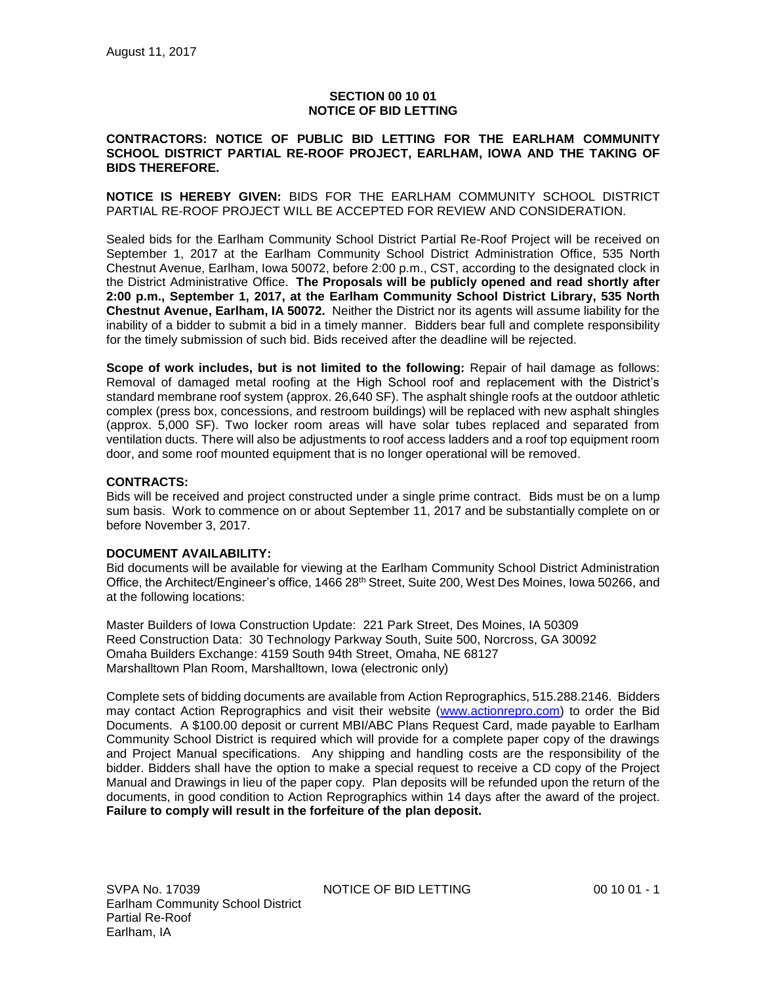#### **SECTION 00 10 01 NOTICE OF BID LETTING**

#### **CONTRACTORS: NOTICE OF PUBLIC BID LETTING FOR THE EARLHAM COMMUNITY SCHOOL DISTRICT PARTIAL RE-ROOF PROJECT, EARLHAM, IOWA AND THE TAKING OF BIDS THEREFORE.**

**NOTICE IS HEREBY GIVEN:** BIDS FOR THE EARLHAM COMMUNITY SCHOOL DISTRICT PARTIAL RE-ROOF PROJECT WILL BE ACCEPTED FOR REVIEW AND CONSIDERATION.

Sealed bids for the Earlham Community School District Partial Re-Roof Project will be received on September 1, 2017 at the Earlham Community School District Administration Office, 535 North Chestnut Avenue, Earlham, Iowa 50072, before 2:00 p.m., CST, according to the designated clock in the District Administrative Office. **The Proposals will be publicly opened and read shortly after 2:00 p.m., September 1, 2017, at the Earlham Community School District Library, 535 North Chestnut Avenue, Earlham, IA 50072.** Neither the District nor its agents will assume liability for the inability of a bidder to submit a bid in a timely manner. Bidders bear full and complete responsibility for the timely submission of such bid. Bids received after the deadline will be rejected.

**Scope of work includes, but is not limited to the following:** Repair of hail damage as follows: Removal of damaged metal roofing at the High School roof and replacement with the District's standard membrane roof system (approx. 26,640 SF). The asphalt shingle roofs at the outdoor athletic complex (press box, concessions, and restroom buildings) will be replaced with new asphalt shingles (approx. 5,000 SF). Two locker room areas will have solar tubes replaced and separated from ventilation ducts. There will also be adjustments to roof access ladders and a roof top equipment room door, and some roof mounted equipment that is no longer operational will be removed.

# **CONTRACTS:**

Bids will be received and project constructed under a single prime contract. Bids must be on a lump sum basis. Work to commence on or about September 11, 2017 and be substantially complete on or before November 3, 2017.

# **DOCUMENT AVAILABILITY:**

Bid documents will be available for viewing at the Earlham Community School District Administration Office, the Architect/Engineer's office, 1466 28<sup>th</sup> Street, Suite 200, West Des Moines, Iowa 50266, and at the following locations:

Master Builders of Iowa Construction Update: 221 Park Street, Des Moines, IA 50309 Reed Construction Data: 30 Technology Parkway South, Suite 500, Norcross, GA 30092 Omaha Builders Exchange: 4159 South 94th Street, Omaha, NE 68127 Marshalltown Plan Room, Marshalltown, Iowa (electronic only)

Complete sets of bidding documents are available from Action Reprographics, 515.288.2146. Bidders may contact Action Reprographics and visit their website [\(www.actionrepro.com\)](http://www.beelineandblue.com/) to order the Bid Documents. A \$100.00 deposit or current MBI/ABC Plans Request Card, made payable to Earlham Community School District is required which will provide for a complete paper copy of the drawings and Project Manual specifications. Any shipping and handling costs are the responsibility of the bidder. Bidders shall have the option to make a special request to receive a CD copy of the Project Manual and Drawings in lieu of the paper copy. Plan deposits will be refunded upon the return of the documents, in good condition to Action Reprographics within 14 days after the award of the project. **Failure to comply will result in the forfeiture of the plan deposit.**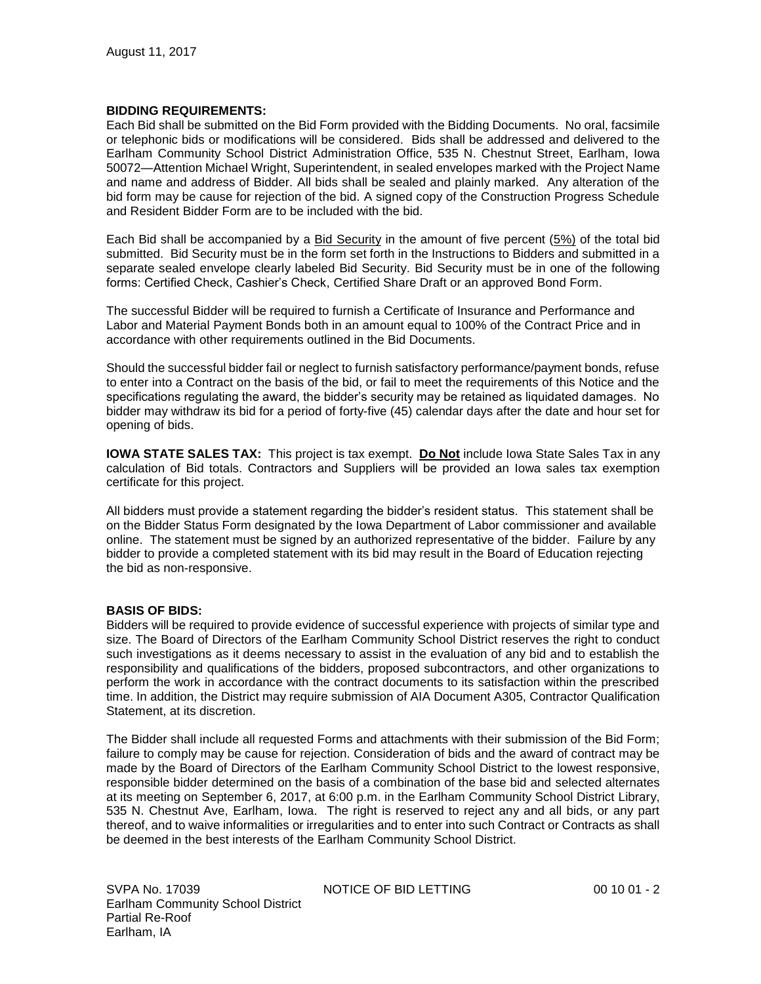#### **BIDDING REQUIREMENTS:**

Each Bid shall be submitted on the Bid Form provided with the Bidding Documents. No oral, facsimile or telephonic bids or modifications will be considered. Bids shall be addressed and delivered to the Earlham Community School District Administration Office, 535 N. Chestnut Street, Earlham, Iowa 50072—Attention Michael Wright, Superintendent, in sealed envelopes marked with the Project Name and name and address of Bidder. All bids shall be sealed and plainly marked. Any alteration of the bid form may be cause for rejection of the bid. A signed copy of the Construction Progress Schedule and Resident Bidder Form are to be included with the bid.

Each Bid shall be accompanied by a Bid Security in the amount of five percent (5%) of the total bid submitted. Bid Security must be in the form set forth in the Instructions to Bidders and submitted in a separate sealed envelope clearly labeled Bid Security. Bid Security must be in one of the following forms: Certified Check, Cashier's Check, Certified Share Draft or an approved Bond Form.

The successful Bidder will be required to furnish a Certificate of Insurance and Performance and Labor and Material Payment Bonds both in an amount equal to 100% of the Contract Price and in accordance with other requirements outlined in the Bid Documents.

Should the successful bidder fail or neglect to furnish satisfactory performance/payment bonds, refuse to enter into a Contract on the basis of the bid, or fail to meet the requirements of this Notice and the specifications regulating the award, the bidder's security may be retained as liquidated damages. No bidder may withdraw its bid for a period of forty-five (45) calendar days after the date and hour set for opening of bids.

**IOWA STATE SALES TAX:** This project is tax exempt. **Do Not** include Iowa State Sales Tax in any calculation of Bid totals. Contractors and Suppliers will be provided an Iowa sales tax exemption certificate for this project.

All bidders must provide a statement regarding the bidder's resident status. This statement shall be on the Bidder Status Form designated by the Iowa Department of Labor commissioner and available online. The statement must be signed by an authorized representative of the bidder. Failure by any bidder to provide a completed statement with its bid may result in the Board of Education rejecting the bid as non-responsive.

# **BASIS OF BIDS:**

Bidders will be required to provide evidence of successful experience with projects of similar type and size. The Board of Directors of the Earlham Community School District reserves the right to conduct such investigations as it deems necessary to assist in the evaluation of any bid and to establish the responsibility and qualifications of the bidders, proposed subcontractors, and other organizations to perform the work in accordance with the contract documents to its satisfaction within the prescribed time. In addition, the District may require submission of AIA Document A305, Contractor Qualification Statement, at its discretion.

The Bidder shall include all requested Forms and attachments with their submission of the Bid Form; failure to comply may be cause for rejection. Consideration of bids and the award of contract may be made by the Board of Directors of the Earlham Community School District to the lowest responsive, responsible bidder determined on the basis of a combination of the base bid and selected alternates at its meeting on September 6, 2017, at 6:00 p.m. in the Earlham Community School District Library, 535 N. Chestnut Ave, Earlham, Iowa. The right is reserved to reject any and all bids, or any part thereof, and to waive informalities or irregularities and to enter into such Contract or Contracts as shall be deemed in the best interests of the Earlham Community School District.